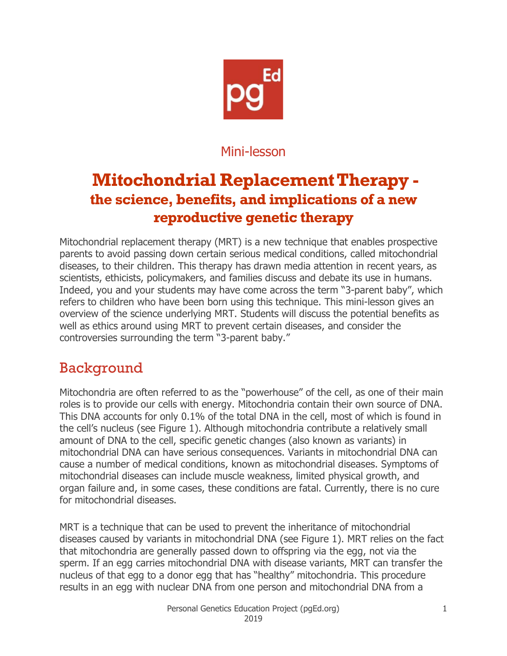

### Mini-lesson

# **Mitochondrial Replacement Therapy the science, benefits, and implications of a new reproductive genetic therapy**

Mitochondrial replacement therapy (MRT) is a new technique that enables prospective parents to avoid passing down certain serious medical conditions, called mitochondrial diseases, to their children. This therapy has drawn media attention in recent years, as scientists, ethicists, policymakers, and families discuss and debate its use in humans. Indeed, you and your students may have come across the term "3-parent baby", which refers to children who have been born using this technique. This mini-lesson gives an overview of the science underlying MRT. Students will discuss the potential benefits as well as ethics around using MRT to prevent certain diseases, and consider the controversies surrounding the term "3-parent baby."

### Background

Mitochondria are often referred to as the "powerhouse" of the cell, as one of their main roles is to provide our cells with energy. Mitochondria contain their own source of DNA. This DNA accounts for only 0.1% of the total DNA in the cell, most of which is found in the cell's nucleus (see Figure 1). Although mitochondria contribute a relatively small amount of DNA to the cell, specific genetic changes (also known as variants) in mitochondrial DNA can have serious consequences. Variants in mitochondrial DNA can cause a number of medical conditions, known as mitochondrial diseases. Symptoms of mitochondrial diseases can include muscle weakness, limited physical growth, and organ failure and, in some cases, these conditions are fatal. Currently, there is no cure for mitochondrial diseases.

MRT is a technique that can be used to prevent the inheritance of mitochondrial diseases caused by variants in mitochondrial DNA (see Figure 1). MRT relies on the fact that mitochondria are generally passed down to offspring via the egg, not via the sperm. If an egg carries mitochondrial DNA with disease variants, MRT can transfer the nucleus of that egg to a donor egg that has "healthy" mitochondria. This procedure results in an egg with nuclear DNA from one person and mitochondrial DNA from a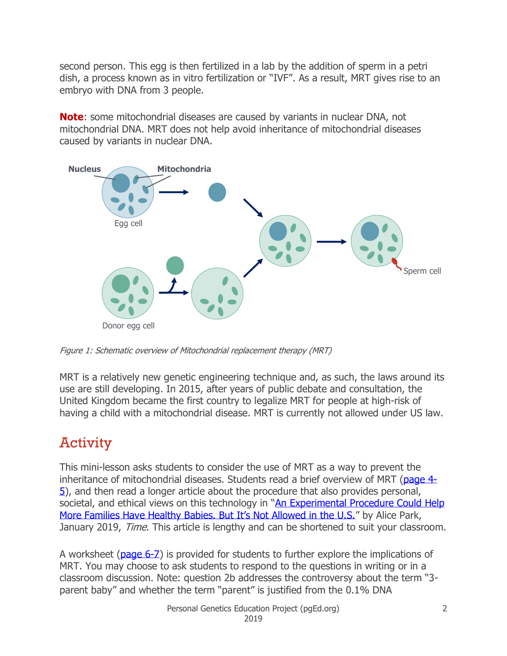second person. This egg is then fertilized in a lab by the addition of sperm in a petri dish, a process known as in vitro fertilization or "IVF". As a result, MRT gives rise to an embryo with DNA from 3 people.

**Note**: some mitochondrial diseases are caused by variants in nuclear DNA, not mitochondrial DNA. MRT does not help avoid inheritance of mitochondrial diseases caused by variants in nuclear DNA.



Figure 1: Schematic overview of Mitochondrial replacement therapy (MRT)

MRT is a relatively new genetic engineering technique and, as such, the laws around its use are still developing. In 2015, after years of public debate and consultation, the United Kingdom became the first country to legalize MRT for people at high-risk of having a child with a mitochondrial disease. MRT is currently not allowed under US law.

# **Activity**

This mini-lesson asks students to consider the use of MRT as a way to prevent the inheritance of mitochondrial diseases. Students read a brief overview of MRT [\(page 4-](#page-3-0) [5\)](#page-3-0), and then read a longer article about the procedure that also provides personal, societal, and ethical views on this technology in "An Experimental Procedure Could Help [More Families Have Healthy Babies. But It's Not Allowed in the U.S."](http://time.com/5492640/mitochondrial-replacement-therapy/) by Alice Park, January 2019, *Time*. This article is lengthy and can be shortened to suit your classroom.

A worksheet [\(page 6-7\)](#page-5-0) is provided for students to further explore the implications of MRT. You may choose to ask students to respond to the questions in writing or in a classroom discussion. Note: question 2b addresses the controversy about the term "3 parent baby" and whether the term "parent" is justified from the 0.1% DNA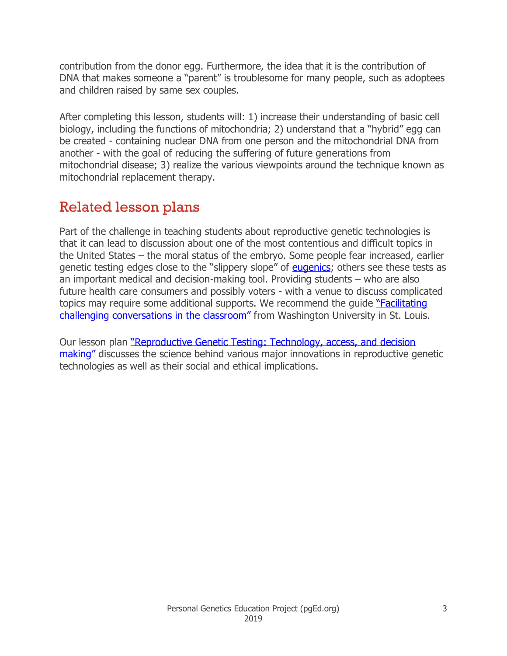contribution from the donor egg. Furthermore, the idea that it is the contribution of DNA that makes someone a "parent" is troublesome for many people, such as adoptees and children raised by same sex couples.

After completing this lesson, students will: 1) increase their understanding of basic cell biology, including the functions of mitochondria; 2) understand that a "hybrid" egg can be created - containing nuclear DNA from one person and the mitochondrial DNA from another - with the goal of reducing the suffering of future generations from mitochondrial disease; 3) realize the various viewpoints around the technique known as mitochondrial replacement therapy.

## Related lesson plans

Part of the challenge in teaching students about reproductive genetic technologies is that it can lead to discussion about one of the most contentious and difficult topics in the United States – the moral status of the embryo. Some people fear increased, earlier genetic testing edges close to the "slippery slope" of **eugenics**; others see these tests as an important medical and decision-making tool. Providing students – who are also future health care consumers and possibly voters - with a venue to discuss complicated topics may require some additional supports. We recommend the quide "Facilitating [challenging conversations in the classroom"](https://teachingcenter.wustl.edu/resources/inclusive-teaching-learning/facilitating-challenging-conversations-in-the-classroom/) from Washington University in St. Louis.

Our lesson plan ["Reproductive Genetic Testing: Technology, access,](http://pged.org/lesson-plans/#reproduction) and decision [making"](http://pged.org/lesson-plans/#reproduction) discusses the science behind various major innovations in reproductive genetic technologies as well as their social and ethical implications.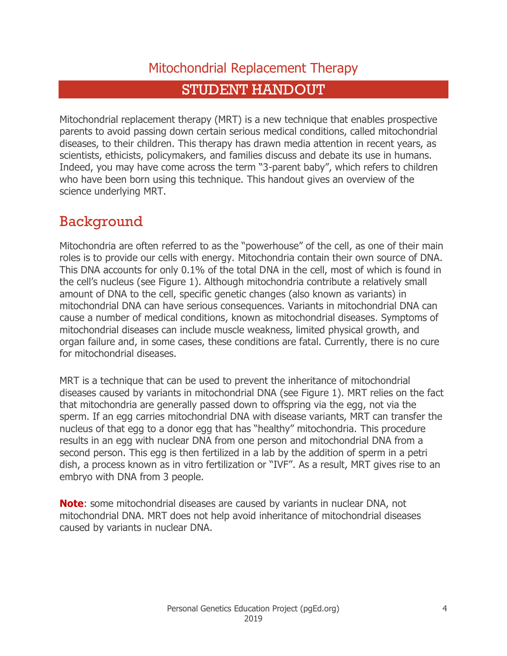### Mitochondrial Replacement Therapy

### STUDENT HANDOUT

<span id="page-3-0"></span>Mitochondrial replacement therapy (MRT) is a new technique that enables prospective parents to avoid passing down certain serious medical conditions, called mitochondrial diseases, to their children. This therapy has drawn media attention in recent years, as scientists, ethicists, policymakers, and families discuss and debate its use in humans. Indeed, you may have come across the term "3-parent baby", which refers to children who have been born using this technique. This handout gives an overview of the science underlying MRT.

### Background

Mitochondria are often referred to as the "powerhouse" of the cell, as one of their main roles is to provide our cells with energy. Mitochondria contain their own source of DNA. This DNA accounts for only 0.1% of the total DNA in the cell, most of which is found in the cell's nucleus (see Figure 1). Although mitochondria contribute a relatively small amount of DNA to the cell, specific genetic changes (also known as variants) in mitochondrial DNA can have serious consequences. Variants in mitochondrial DNA can cause a number of medical conditions, known as mitochondrial diseases. Symptoms of mitochondrial diseases can include muscle weakness, limited physical growth, and organ failure and, in some cases, these conditions are fatal. Currently, there is no cure for mitochondrial diseases.

MRT is a technique that can be used to prevent the inheritance of mitochondrial diseases caused by variants in mitochondrial DNA (see Figure 1). MRT relies on the fact that mitochondria are generally passed down to offspring via the egg, not via the sperm. If an egg carries mitochondrial DNA with disease variants, MRT can transfer the nucleus of that egg to a donor egg that has "healthy" mitochondria. This procedure results in an egg with nuclear DNA from one person and mitochondrial DNA from a second person. This egg is then fertilized in a lab by the addition of sperm in a petri dish, a process known as in vitro fertilization or "IVF". As a result, MRT gives rise to an embryo with DNA from 3 people.

**Note**: some mitochondrial diseases are caused by variants in nuclear DNA, not mitochondrial DNA. MRT does not help avoid inheritance of mitochondrial diseases caused by variants in nuclear DNA.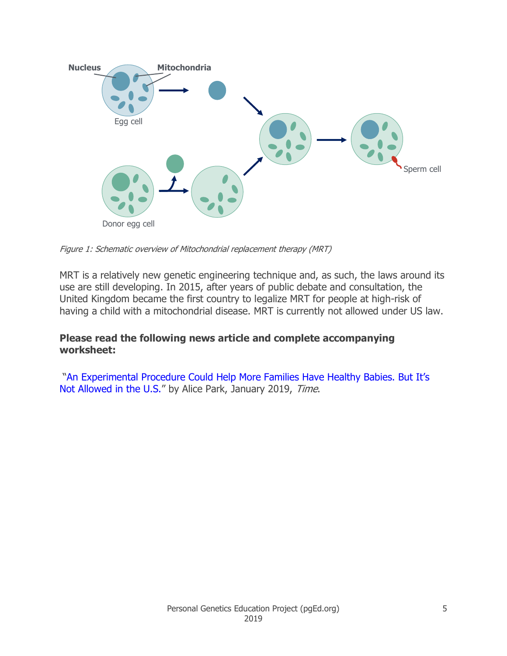

Figure 1: Schematic overview of Mitochondrial replacement therapy (MRT)

MRT is a relatively new genetic engineering technique and, as such, the laws around its use are still developing. In 2015, after years of public debate and consultation, the United Kingdom became the first country to legalize MRT for people at high-risk of having a child with a mitochondrial disease. MRT is currently not allowed under US law.

#### **Please read the following news article and complete accompanying worksheet:**

["An Experimental Procedure Could Help More Families Have Healthy Babies. But It's](http://time.com/5492640/mitochondrial-replacement-therapy/)  [Not Allowed in the U.S.](http://time.com/5492640/mitochondrial-replacement-therapy/)" by Alice Park, January 2019, Time.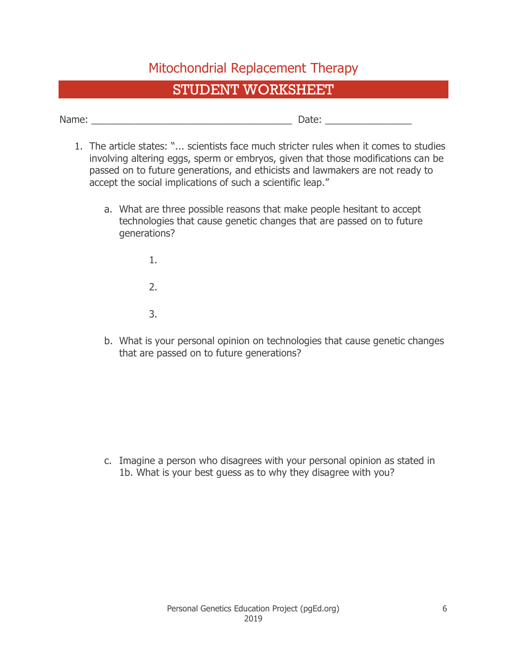### Mitochondrial Replacement Therapy

### STUDENT WORKSHEET

<span id="page-5-0"></span>Name:  $\Box$ 

- 1. The article states: "... scientists face much stricter rules when it comes to studies involving altering eggs, sperm or embryos, given that those modifications can be passed on to future generations, and ethicists and lawmakers are not ready to accept the social implications of such a scientific leap."
	- a. What are three possible reasons that make people hesitant to accept technologies that cause genetic changes that are passed on to future generations?
		- 1.
		- 2.
		- 3.
	- b. What is your personal opinion on technologies that cause genetic changes that are passed on to future generations?

c. Imagine a person who disagrees with your personal opinion as stated in 1b. What is your best guess as to why they disagree with you?